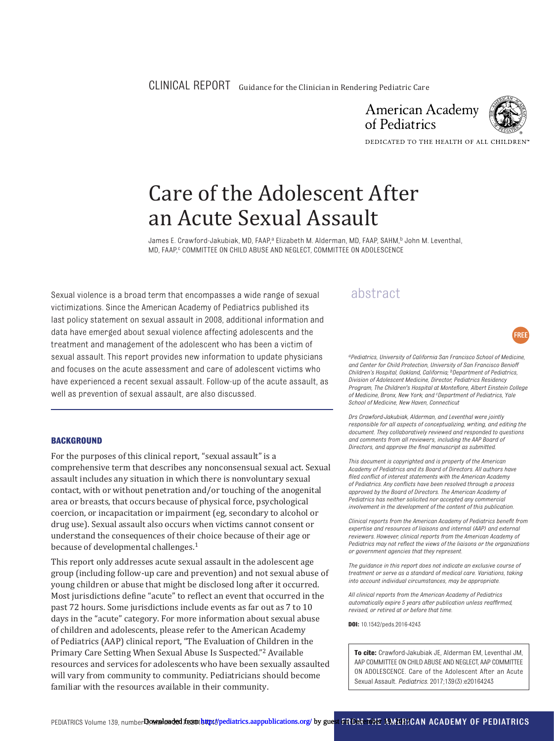CLINICAL REPORT Guidance for the Clinician in Rendering Pediatric Care

**American Academy** of Pediatrics



FREE

DEDICATED TO THE HEALTH OF ALL CHILDREN'

## Care of the Adolescent After an Acute Sexual Assault

James E. Crawford-Jakubiak, MD, FAAP,<sup>a</sup> Elizabeth M. Alderman, MD, FAAP, SAHM,<sup>b</sup> John M. Leventhal, MD, FAAP,<sup>e</sup> COMMITTEE ON CHILD ABUSE AND NEGLECT, COMMITTEE ON ADOLESCENCE

Sexual violence is a broad term that encompasses a wide range of sexual  $a\bar{b}$ stract victimizations. Since the American Academy of Pediatrics published its last policy statement on sexual assault in 2008, additional information and data have emerged about sexual violence affecting adolescents and the treatment and management of the adolescent who has been a victim of sexual assault. This report provides new information to update physicians and focuses on the acute assessment and care of adolescent victims who have experienced a recent sexual assault. Follow-up of the acute assault, as well as prevention of sexual assault, are also discussed.

#### **BACKGROUND**

For the purposes of this clinical report, "sexual assault" is a comprehensive term that describes any nonconsensual sexual act. Sexual assault includes any situation in which there is nonvoluntary sexual contact, with or without penetration and/or touching of the anogenital area or breasts, that occurs because of physical force, psychological coercion, or incapacitation or impairment (eg, secondary to alcohol or drug use). Sexual assault also occurs when victims cannot consent or understand the consequences of their choice because of their age or because of developmental challenges.<sup>1</sup>

This report only addresses acute sexual assault in the adolescent age group (including follow-up care and prevention) and not sexual abuse of young children or abuse that might be disclosed long after it occurred. Most jurisdictions define "acute" to reflect an event that occurred in the past 72 hours. Some jurisdictions include events as far out as 7 to 10 days in the "acute" category. For more information about sexual abuse of children and adolescents, please refer to the American Academy of Pediatrics (AAP) clinical report, "The Evaluation of Children in the Primary Care Setting When Sexual Abuse Is Suspected."<sup>2</sup> Available resources and services for adolescents who have been sexually assaulted will vary from community to community. Pediatricians should become familiar with the resources available in their community.

*aPediatrics, University of California San Francisco School of Medicine, and Center for Child Protection, University of San Francisco Benioff Children's Hospital, Oakland, California; bDepartment of Pediatrics, Division of Adolescent Medicine, Director, Pediatrics Residency*  Program, The Children's Hospital at Montefiore, Albert Einstein College *of Medicine, Bronx, New York; and c Department of Pediatrics, Yale School of Medicine, New Haven, Connecticut*

*Drs Crawford-Jakubiak, Alderman, and Leventhal were jointly responsible for all aspects of conceptualizing, writing, and editing the document. They collaboratively reviewed and responded to questions and comments from all reviewers, including the AAP Board of Directors, and approve the final manuscript as submitted.* 

*This document is copyrighted and is property of the American Academy of Pediatrics and its Board of Directors. All authors have fi led confl ict of interest statements with the American Academy of Pediatrics. Any confl icts have been resolved through a process approved by the Board of Directors. The American Academy of Pediatrics has neither solicited nor accepted any commercial involvement in the development of the content of this publication.*

*Clinical reports from the American Academy of Pediatrics benefi t from expertise and resources of liaisons and internal (AAP) and external reviewers. However, clinical reports from the American Academy of*  Pediatrics may not reflect the views of the liaisons or the organizations *or government agencies that they represent.*

*The guidance in this report does not indicate an exclusive course of treatment or serve as a standard of medical care. Variations, taking into account individual circumstances, may be appropriate.*

*All clinical reports from the American Academy of Pediatrics*  automatically expire 5 years after publication unless reaffirmed, *revised, or retired at or before that time.*

**DOI:** 10.1542/peds.2016-4243

**To cite:** Crawford-Jakubiak JE, Alderman EM, Leventhal JM, AAP COMMITTEE ON CHILD ABUSE AND NEGLECT, AAP COMMITTEE ON ADOLESCENCE. Care of the Adolescent After an Acute Sexual Assault. *Pediatrics.* 2017;139(3):e20164243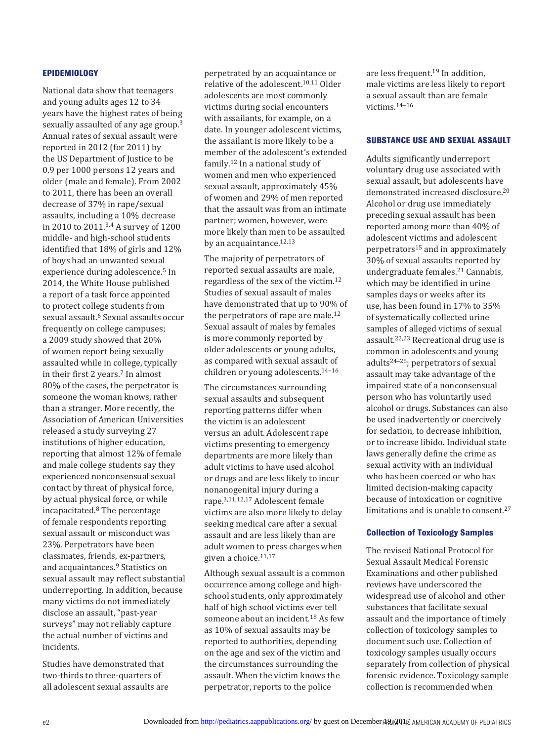#### **EPIDEMIOLOGY**

National data show that teenagers and young adults ages 12 to 34 years have the highest rates of being sexually assaulted of any age group.<sup>3</sup> Annual rates of sexual assault were reported in 2012 (for 2011) by the US Department of Justice to be 0.9 per 1000 persons 12 years and older (male and female). From 2002 to 2011, there has been an overall decrease of 37% in rape/sexual assaults, including a 10% decrease in 2010 to 2011.<sup>3,4</sup> A survey of 1200 middle- and high-school students identified that 18% of girls and 12% of boys had an unwanted sexual experience during adolescence.<sup>5</sup> In 2014, the White House published a report of a task force appointed to protect college students from sexual assault.<sup>6</sup> Sexual assaults occur frequently on college campuses; a 2009 study showed that 20% of women report being sexually assaulted while in college, typically in their first 2 years.<sup>7</sup> In almost 80% of the cases, the perpetrator is someone the woman knows, rather than a stranger. More recently, the Association of American Universities released a study surveying 27 institutions of higher education, reporting that almost 12% of female and male college students say they experienced nonconsensual sexual contact by threat of physical force, by actual physical force, or while incapacitated. 8 The percentage of female respondents reporting sexual assault or misconduct was 23%. Perpetrators have been classmates, friends, ex-partners, and acquaintances. 9 Statistics on sexual assault may reflect substantial underreporting. In addition, because many victims do not immediately disclose an assault, "past-year surveys" may not reliably capture the actual number of victims and incidents.

Studies have demonstrated that two-thirds to three-quarters of all adolescent sexual assaults are perpetrated by an acquaintance or relative of the adolescent.<sup>10,11</sup> Older adolescents are most commonly victims during social encounters with assailants, for example, on a date. In younger adolescent victims, the assailant is more likely to be a member of the adolescent's extended family. 12 In a national study of women and men who experienced sexual assault, approximately 45% of women and 29% of men reported that the assault was from an intimate partner; women, however, were more likely than men to be assaulted by an acquaintance. $12,13$ 

The majority of perpetrators of reported sexual assaults are male, regardless of the sex of the victim. 12 Studies of sexual assault of males have demonstrated that up to 90% of the perpetrators of rape are male.<sup>12</sup> Sexual assault of males by females is more commonly reported by older adolescents or young adults, as compared with sexual assault of children or young adolescents. 14–16

The circumstances surrounding sexual assaults and subsequent reporting patterns differ when the victim is an adolescent versus an adult. Adolescent rape victims presenting to emergency departments are more likely than adult victims to have used alcohol or drugs and are less likely to incur nonanogenital injury during a rape.<sup>3,11,12,17</sup> Adolescent female victims are also more likely to delay seeking medical care after a sexual assault and are less likely than are adult women to press charges when given a choice. $11,17$ 

Although sexual assault is a common occurrence among college and highschool students, only approximately half of high school victims ever tell someone about an incident.<sup>18</sup> As few as 10% of sexual assaults may be reported to authorities, depending on the age and sex of the victim and the circumstances surrounding the assault. When the victim knows the perpetrator, reports to the police

are less frequent.<sup>19</sup> In addition, male victims are less likely to report a sexual assault than are female victims. 14–16

#### **SUBSTANCE USE AND SEXUAL ASSAULT**

Adults significantly underreport voluntary drug use associated with sexual assault, but adolescents have demonstrated increased disclosure. 20 Alcohol or drug use immediately preceding sexual assault has been reported among more than 40% of adolescent victims and adolescent perpetrators 15 and in approximately 30% of sexual assaults reported by undergraduate females. 21 Cannabis, which may be identified in urine samples days or weeks after its use, has been found in 17% to 35% of systematically collected urine samples of alleged victims of sexual assault.<sup>22,23</sup> Recreational drug use is common in adolescents and young adults 24–26; perpetrators of sexual assault may take advantage of the impaired state of a nonconsensual person who has voluntarily used alcohol or drugs. Substances can also be used inadvertently or coercively for sedation, to decrease inhibition, or to increase libido. Individual state laws generally define the crime as sexual activity with an individual who has been coerced or who has limited decision-making capacity because of intoxication or cognitive limitations and is unable to consent.<sup>27</sup>

#### **Collection of Toxicology Samples**

The revised National Protocol for Sexual Assault Medical Forensic Examinations and other published reviews have underscored the widespread use of alcohol and other substances that facilitate sexual assault and the importance of timely collection of toxicology samples to document such use. Collection of toxicology samples usually occurs separately from collection of physical forensic evidence. Toxicology sample collection is recommended when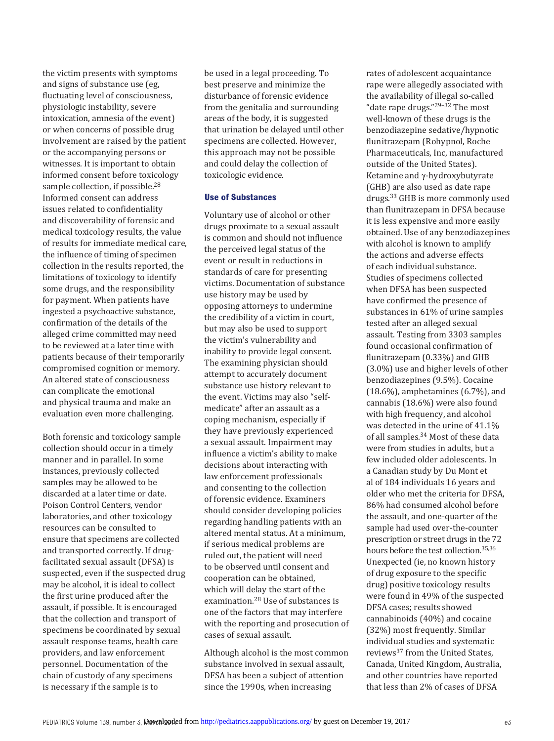the victim presents with symptoms and signs of substance use (eg, fluctuating level of consciousness, physiologic instability, severe intoxication, amnesia of the event) or when concerns of possible drug involvement are raised by the patient or the accompanying persons or witnesses. It is important to obtain informed consent before toxicology sample collection, if possible.<sup>28</sup> Informed consent can address issues related to confidentiality and discoverability of forensic and medical toxicology results, the value of results for immediate medical care, the influence of timing of specimen collection in the results reported, the limitations of toxicology to identify some drugs, and the responsibility for payment. When patients have ingested a psychoactive substance, confirmation of the details of the alleged crime committed may need to be reviewed at a later time with patients because of their temporarily compromised cognition or memory. An altered state of consciousness can complicate the emotional and physical trauma and make an evaluation even more challenging.

Both forensic and toxicology sample collection should occur in a timely manner and in parallel. In some instances, previously collected samples may be allowed to be discarded at a later time or date. Poison Control Centers, vendor laboratories, and other toxicology resources can be consulted to ensure that specimens are collected and transported correctly. If drugfacilitated sexual assault (DFSA) is suspected, even if the suspected drug may be alcohol, it is ideal to collect the first urine produced after the assault, if possible. It is encouraged that the collection and transport of specimens be coordinated by sexual assault response teams, health care providers, and law enforcement personnel. Documentation of the chain of custody of any specimens is necessary if the sample is to

be used in a legal proceeding. To best preserve and minimize the disturbance of forensic evidence from the genitalia and surrounding areas of the body, it is suggested that urination be delayed until other specimens are collected. However, this approach may not be possible and could delay the collection of toxicologic evidence.

#### **Use of Substances**

Voluntary use of alcohol or other drugs proximate to a sexual assault is common and should not influence the perceived legal status of the event or result in reductions in standards of care for presenting victims. Documentation of substance use history may be used by opposing attorneys to undermine the credibility of a victim in court, but may also be used to support the victim's vulnerability and inability to provide legal consent. The examining physician should attempt to accurately document substance use history relevant to the event. Victims may also "selfmedicate" after an assault as a coping mechanism, especially if they have previously experienced a sexual assault. Impairment may influence a victim's ability to make decisions about interacting with law enforcement professionals and consenting to the collection of forensic evidence. Examiners should consider developing policies regarding handling patients with an altered mental status. At a minimum, if serious medical problems are ruled out, the patient will need to be observed until consent and cooperation can be obtained, which will delay the start of the examination.<sup>28</sup> Use of substances is one of the factors that may interfere with the reporting and prosecution of cases of sexual assault.

Although alcohol is the most common substance involved in sexual assault, DFSA has been a subject of attention since the 1990s, when increasing

rates of adolescent acquaintance rape were allegedly associated with the availability of illegal so-called "date rape drugs." 29–32 The most well-known of these drugs is the benzodiazepine sedative/hypnotic flunitrazepam (Rohypnol, Roche Pharmaceuticals, Inc, manufactured outside of the United States). Ketamine and γ-hydroxybutyrate (GHB) are also used as date rape drugs.33 GHB is more commonly used than flunitrazepam in DFSA because it is less expensive and more easily obtained. Use of any benzodiazepines with alcohol is known to amplify the actions and adverse effects of each individual substance. Studies of specimens collected when DFSA has been suspected have confirmed the presence of substances in 61% of urine samples tested after an alleged sexual assault. Testing from 3303 samples found occasional confirmation of flunitrazepam (0.33%) and GHB (3.0%) use and higher levels of other benzodiazepines (9.5%). Cocaine (18.6%), amphetamines (6.7%), and cannabis (18.6%) were also found with high frequency, and alcohol was detected in the urine of 41.1% of all samples. 34 Most of these data were from studies in adults, but a few included older adolescents. In a Canadian study by Du Mont et al of 184 individuals 16 years and older who met the criteria for DFSA, 86% had consumed alcohol before the assault, and one-quarter of the sample had used over-the-counter prescription or street drugs in the 72 hours before the test collection. 35, 36 Unexpected (ie, no known history of drug exposure to the specific drug) positive toxicology results were found in 49% of the suspected DFSA cases; results showed cannabinoids (40%) and cocaine (32%) most frequently. Similar individual studies and systematic reviews 37 from the United States, Canada, United Kingdom, Australia, and other countries have reported that less than 2% of cases of DFSA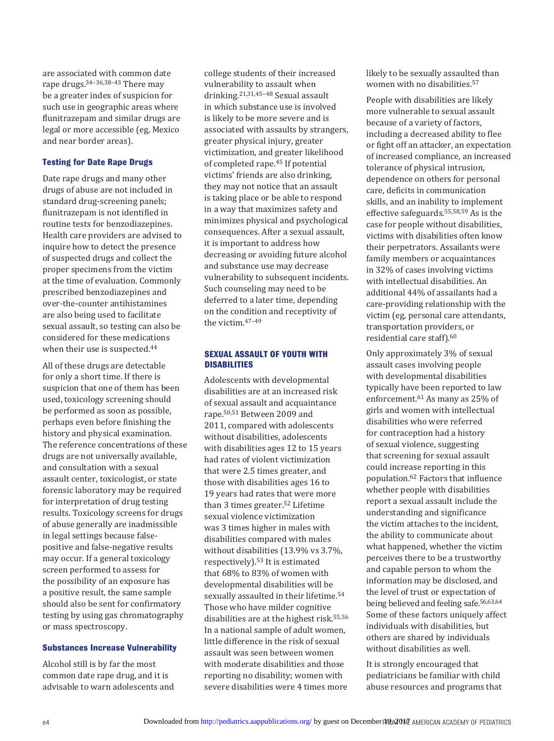are associated with common date rape drugs.<sup>34-36,38-43</sup> There may be a greater index of suspicion for such use in geographic areas where flunitrazepam and similar drugs are legal or more accessible (eg, Mexico and near border areas).

#### **Testing for Date Rape Drugs**

Date rape drugs and many other drugs of abuse are not included in standard drug-screening panels; flunitrazepam is not identified in routine tests for benzodiazepines. Health care providers are advised to inquire how to detect the presence of suspected drugs and collect the proper specimens from the victim at the time of evaluation. Commonly prescribed benzodiazepines and over-the-counter antihistamines are also being used to facilitate sexual assault, so testing can also be considered for these medications when their use is suspected.<sup>44</sup>

All of these drugs are detectable for only a short time. If there is suspicion that one of them has been used, toxicology screening should be performed as soon as possible, perhaps even before finishing the history and physical examination. The reference concentrations of these drugs are not universally available, and consultation with a sexual assault center, toxicologist, or state forensic laboratory may be required for interpretation of drug testing results. Toxicology screens for drugs of abuse generally are inadmissible in legal settings because falsepositive and false-negative results may occur. If a general toxicology screen performed to assess for the possibility of an exposure has a positive result, the same sample should also be sent for confirmatory testing by using gas chromatography or mass spectroscopy.

#### **Substances Increase Vulnerability**

Alcohol still is by far the most common date rape drug, and it is advisable to warn adolescents and

college students of their increased vulnerability to assault when drinking. 21, 31, 45-48 Sexual assault in which substance use is involved is likely to be more severe and is associated with assaults by strangers, greater physical injury, greater victimization, and greater likelihood of completed rape. 45 If potential victims' friends are also drinking, they may not notice that an assault is taking place or be able to respond in a way that maximizes safety and minimizes physical and psychological consequences. After a sexual assault, it is important to address how decreasing or avoiding future alcohol and substance use may decrease vulnerability to subsequent incidents. Such counseling may need to be deferred to a later time, depending on the condition and receptivity of the victim. 47–49

#### **SEXUAL ASSAULT OF YOUTH WITH DISABILITIES**

Adolescents with developmental disabilities are at an increased risk of sexual assault and acquaintance rape.<sup>50,51</sup> Between 2009 and 2011, compared with adolescents without disabilities, adolescents with disabilities ages 12 to 15 years had rates of violent victimization that were 2.5 times greater, and those with disabilities ages 16 to 19 years had rates that were more than 3 times greater.<sup>52</sup> Lifetime sexual violence victimization was 3 times higher in males with disabilities compared with males without disabilities (13.9% vs 3.7%, respectively). 53 It is estimated that 68% to 83% of women with developmental disabilities will be sexually assaulted in their lifetime.<sup>54</sup> Those who have milder cognitive disabilities are at the highest risk.<sup>55,56</sup> In a national sample of adult women, little difference in the risk of sexual assault was seen between women with moderate disabilities and those reporting no disability; women with severe disabilities were 4 times more likely to be sexually assaulted than women with no disabilities. 57

People with disabilities are likely more vulnerable to sexual assault because of a variety of factors, including a decreased ability to flee or fight off an attacker, an expectation of increased compliance, an increased tolerance of physical intrusion, dependence on others for personal care, deficits in communication skills, and an inability to implement effective safeguards.<sup>55,58,59</sup> As is the case for people without disabilities, victims with disabilities often know their perpetrators. Assailants were family members or acquaintances in 32% of cases involving victims with intellectual disabilities. An additional 44% of assailants had a care-providing relationship with the victim (eg, personal care attendants, transportation providers, or residential care staff). 60

Only approximately 3% of sexual assault cases involving people with developmental disabilities typically have been reported to law enforcement.<sup>61</sup> As many as 25% of girls and women with intellectual disabilities who were referred for contraception had a history of sexual violence, suggesting that screening for sexual assault could increase reporting in this population. 62 Factors that influence whether people with disabilities report a sexual assault include the understanding and significance the victim attaches to the incident, the ability to communicate about what happened, whether the victim perceives there to be a trustworthy and capable person to whom the information may be disclosed, and the level of trust or expectation of being believed and feeling safe.<sup>56,63,64</sup> Some of these factors uniquely affect individuals with disabilities, but others are shared by individuals without disabilities as well.

It is strongly encouraged that pediatricians be familiar with child abuse resources and programs that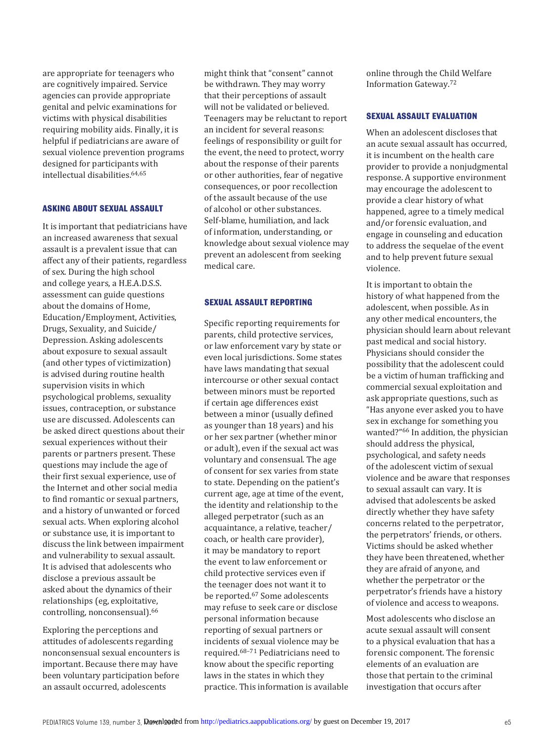are appropriate for teenagers who are cognitively impaired. Service agencies can provide appropriate genital and pelvic examinations for victims with physical disabilities requiring mobility aids. Finally, it is helpful if pediatricians are aware of sexual violence prevention programs designed for participants with intellectual disabilities.<sup>64,65</sup>

#### **ASKING ABOUT SEXUAL ASSAULT**

It is important that pediatricians have an increased awareness that sexual assault is a prevalent issue that can affect any of their patients, regardless of sex. During the high school and college years, a H.E.A.D.S.S. assessment can guide questions about the domains of Home, Education/Employment, Activities, Drugs, Sexuality, and Suicide/ Depression. Asking adolescents about exposure to sexual assault (and other types of victimization) is advised during routine health supervision visits in which psychological problems, sexuality issues, contraception, or substance use are discussed. Adolescents can be asked direct questions about their sexual experiences without their parents or partners present. These questions may include the age of their first sexual experience, use of the Internet and other social media to find romantic or sexual partners, and a history of unwanted or forced sexual acts. When exploring alcohol or substance use, it is important to discuss the link between impairment and vulnerability to sexual assault. It is advised that adolescents who disclose a previous assault be asked about the dynamics of their relationships (eg, exploitative, controlling, nonconsensual). 66

Exploring the perceptions and attitudes of adolescents regarding nonconsensual sexual encounters is important. Because there may have been voluntary participation before an assault occurred, adolescents

might think that "consent" cannot be withdrawn. They may worry that their perceptions of assault will not be validated or believed. Teenagers may be reluctant to report an incident for several reasons: feelings of responsibility or guilt for the event, the need to protect, worry about the response of their parents or other authorities, fear of negative consequences, or poor recollection of the assault because of the use of alcohol or other substances. Self-blame, humiliation, and lack of information, understanding, or knowledge about sexual violence may prevent an adolescent from seeking medical care.

#### **SEXUAL ASSAULT REPORTING**

Specific reporting requirements for parents, child protective services, or law enforcement vary by state or even local jurisdictions. Some states have laws mandating that sexual intercourse or other sexual contact between minors must be reported if certain age differences exist between a minor (usually defined as younger than 18 years) and his or her sex partner (whether minor or adult), even if the sexual act was voluntary and consensual. The age of consent for sex varies from state to state. Depending on the patient's current age, age at time of the event, the identity and relationship to the alleged perpetrator (such as an acquaintance, a relative, teacher/ coach, or health care provider), it may be mandatory to report the event to law enforcement or child protective services even if the teenager does not want it to be reported.<sup>67</sup> Some adolescents may refuse to seek care or disclose personal information because reporting of sexual partners or incidents of sexual violence may be required. 68–71 Pediatricians need to know about the specific reporting laws in the states in which they practice. This information is available online through the Child Welfare Information Gateway. 72

#### **SEXUAL ASSAULT EVALUATION**

When an adolescent discloses that an acute sexual assault has occurred, it is incumbent on the health care provider to provide a nonjudgmental response. A supportive environment may encourage the adolescent to provide a clear history of what happened, agree to a timely medical and/or forensic evaluation, and engage in counseling and education to address the sequelae of the event and to help prevent future sexual violence.

It is important to obtain the history of what happened from the adolescent, when possible. As in any other medical encounters, the physician should learn about relevant past medical and social history. Physicians should consider the possibility that the adolescent could be a victim of human trafficking and commercial sexual exploitation and ask appropriate questions, such as "Has anyone ever asked you to have sex in exchange for something you wanted?"<sup>66</sup> In addition, the physician should address the physical, psychological, and safety needs of the adolescent victim of sexual violence and be aware that responses to sexual assault can vary. It is advised that adolescents be asked directly whether they have safety concerns related to the perpetrator, the perpetrators' friends, or others. Victims should be asked whether they have been threatened, whether they are afraid of anyone, and whether the perpetrator or the perpetrator's friends have a history of violence and access to weapons.

Most adolescents who disclose an acute sexual assault will consent to a physical evaluation that has a forensic component. The forensic elements of an evaluation are those that pertain to the criminal investigation that occurs after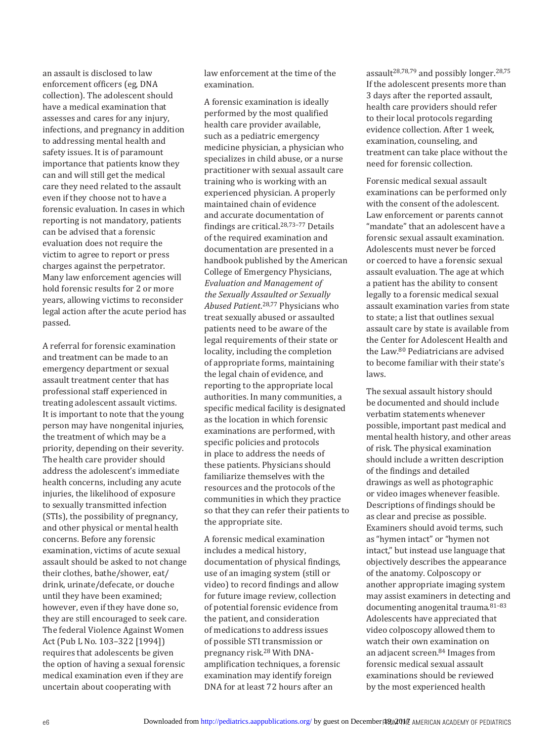an assault is disclosed to law enforcement officers (eg, DNA collection). The adolescent should have a medical examination that assesses and cares for any injury, infections, and pregnancy in addition to addressing mental health and safety issues. It is of paramount importance that patients know they can and will still get the medical care they need related to the assault even if they choose not to have a forensic evaluation. In cases in which reporting is not mandatory, patients can be advised that a forensic evaluation does not require the victim to agree to report or press charges against the perpetrator. Many law enforcement agencies will hold forensic results for 2 or more years, allowing victims to reconsider legal action after the acute period has passed.

A referral for forensic examination and treatment can be made to an emergency department or sexual assault treatment center that has professional staff experienced in treating adolescent assault victims. It is important to note that the young person may have nongenital injuries, the treatment of which may be a priority, depending on their severity. The health care provider should address the adolescent's immediate health concerns, including any acute injuries, the likelihood of exposure to sexually transmitted infection (STIs), the possibility of pregnancy, and other physical or mental health concerns. Before any forensic examination, victims of acute sexual assault should be asked to not change their clothes, bathe/shower, eat/ drink, urinate/defecate, or douche until they have been examined; however, even if they have done so, they are still encouraged to seek care. The federal Violence Against Women Act (Pub L No. 103–322 [1994]) requires that adolescents be given the option of having a sexual forensic medical examination even if they are uncertain about cooperating with

law enforcement at the time of the examination.

A forensic examination is ideally performed by the most qualified health care provider available, such as a pediatric emergency medicine physician, a physician who specializes in child abuse, or a nurse practitioner with sexual assault care training who is working with an experienced physician. A properly maintained chain of evidence and accurate documentation of findings are critical.<sup>28,73-77</sup> Details of the required examination and documentation are presented in a handbook published by the American College of Emergency Physicians, *Evaluation and Management of the Sexually Assaulted or Sexually Abused Patient*. 28, 77 Physicians who treat sexually abused or assaulted patients need to be aware of the legal requirements of their state or locality, including the completion of appropriate forms, maintaining the legal chain of evidence, and reporting to the appropriate local authorities. In many communities, a specific medical facility is designated as the location in which forensic examinations are performed, with specific policies and protocols in place to address the needs of these patients. Physicians should familiarize themselves with the resources and the protocols of the communities in which they practice so that they can refer their patients to the appropriate site.

A forensic medical examination includes a medical history, documentation of physical findings, use of an imaging system (still or video) to record findings and allow for future image review, collection of potential forensic evidence from the patient, and consideration of medications to address issues of possible STI transmission or pregnancy risk.<sup>28</sup> With DNAamplification techniques, a forensic examination may identify foreign DNA for at least 72 hours after an

assault $28,78,79$  and possibly longer.  $28,75$ If the adolescent presents more than 3 days after the reported assault, health care providers should refer to their local protocols regarding evidence collection. After 1 week, examination, counseling, and treatment can take place without the need for forensic collection.

Forensic medical sexual assault examinations can be performed only with the consent of the adolescent. Law enforcement or parents cannot "mandate" that an adolescent have a forensic sexual assault examination. Adolescents must never be forced or coerced to have a forensic sexual assault evaluation. The age at which a patient has the ability to consent legally to a forensic medical sexual assault examination varies from state to state; a list that outlines sexual assault care by state is available from the Center for Adolescent Health and the Law. 80 Pediatricians are advised to become familiar with their state's laws.

The sexual assault history should be documented and should include verbatim statements whenever possible, important past medical and mental health history, and other areas of risk. The physical examination should include a written description of the findings and detailed drawings as well as photographic or video images whenever feasible. Descriptions of findings should be as clear and precise as possible. Examiners should avoid terms, such as "hymen intact" or "hymen not intact," but instead use language that objectively describes the appearance of the anatomy. Colposcopy or another appropriate imaging system may assist examiners in detecting and documenting anogenital trauma. 81-83 Adolescents have appreciated that video colposcopy allowed them to watch their own examination on an adjacent screen. 84 Images from forensic medical sexual assault examinations should be reviewed by the most experienced health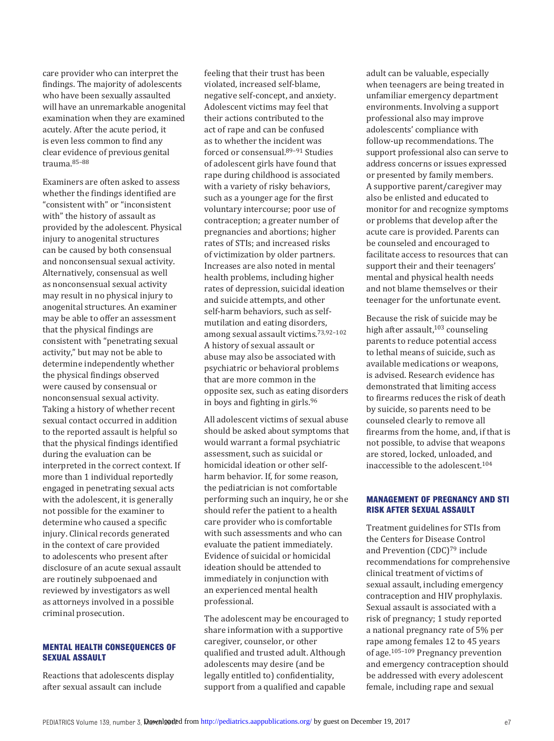care provider who can interpret the findings. The majority of adolescents who have been sexually assaulted will have an unremarkable anogenital examination when they are examined acutely. After the acute period, it is even less common to find any clear evidence of previous genital trauma.85–88

Examiners are often asked to assess whether the findings identified are "consistent with" or "inconsistent with" the history of assault as provided by the adolescent. Physical injury to anogenital structures can be caused by both consensual and nonconsensual sexual activity. Alternatively, consensual as well as nonconsensual sexual activity may result in no physical injury to anogenital structures. An examiner may be able to offer an assessment that the physical findings are consistent with "penetrating sexual activity," but may not be able to determine independently whether the physical findings observed were caused by consensual or nonconsensual sexual activity. Taking a history of whether recent sexual contact occurred in addition to the reported assault is helpful so that the physical findings identified during the evaluation can be interpreted in the correct context. If more than 1 individual reportedly engaged in penetrating sexual acts with the adolescent, it is generally not possible for the examiner to determine who caused a specific injury. Clinical records generated in the context of care provided to adolescents who present after disclosure of an acute sexual assault are routinely subpoenaed and reviewed by investigators as well as attorneys involved in a possible criminal prosecution.

#### **MENTAL HEALTH CONSEQUENCES OF SEXUAL ASSAULT**

Reactions that adolescents display after sexual assault can include

feeling that their trust has been violated, increased self-blame, negative self-concept, and anxiety. Adolescent victims may feel that their actions contributed to the act of rape and can be confused as to whether the incident was forced or consensual. 89–91 Studies of adolescent girls have found that rape during childhood is associated with a variety of risky behaviors, such as a younger age for the first voluntary intercourse; poor use of contraception; a greater number of pregnancies and abortions; higher rates of STIs; and increased risks of victimization by older partners. Increases are also noted in mental health problems, including higher rates of depression, suicidal ideation and suicide attempts, and other self-harm behaviors, such as selfmutilation and eating disorders, among sexual assault victims.<sup>73,92-102</sup> A history of sexual assault or abuse may also be associated with psychiatric or behavioral problems that are more common in the opposite sex, such as eating disorders in boys and fighting in girls. 96

All adolescent victims of sexual abuse should be asked about symptoms that would warrant a formal psychiatric assessment, such as suicidal or homicidal ideation or other selfharm behavior. If, for some reason, the pediatrician is not comfortable performing such an inquiry, he or she should refer the patient to a health care provider who is comfortable with such assessments and who can evaluate the patient immediately. Evidence of suicidal or homicidal ideation should be attended to immediately in conjunction with an experienced mental health professional.

The adolescent may be encouraged to share information with a supportive caregiver, counselor, or other qualified and trusted adult. Although adolescents may desire (and be legally entitled to) confidentiality, support from a qualified and capable

adult can be valuable, especially when teenagers are being treated in unfamiliar emergency department environments. Involving a support professional also may improve adolescents' compliance with follow-up recommendations. The support professional also can serve to address concerns or issues expressed or presented by family members. A supportive parent/caregiver may also be enlisted and educated to monitor for and recognize symptoms or problems that develop after the acute care is provided. Parents can be counseled and encouraged to facilitate access to resources that can support their and their teenagers' mental and physical health needs and not blame themselves or their teenager for the unfortunate event.

Because the risk of suicide may be high after assault, $103$  counseling parents to reduce potential access to lethal means of suicide, such as available medications or weapons, is advised. Research evidence has demonstrated that limiting access to firearms reduces the risk of death by suicide, so parents need to be counseled clearly to remove all firearms from the home, and, if that is not possible, to advise that weapons are stored, locked, unloaded, and inaccessible to the adolescent. 104

#### **MANAGEMENT OF PREGNANCY AND STI RISK AFTER SEXUAL ASSAULT**

Treatment guidelines for STIs from the Centers for Disease Control and Prevention (CDC) 79 include recommendations for comprehensive clinical treatment of victims of sexual assault, including emergency contraception and HIV prophylaxis. Sexual assault is associated with a risk of pregnancy; 1 study reported a national pregnancy rate of 5% per rape among females 12 to 45 years of age. 105–109 Pregnancy prevention and emergency contraception should be addressed with every adolescent female, including rape and sexual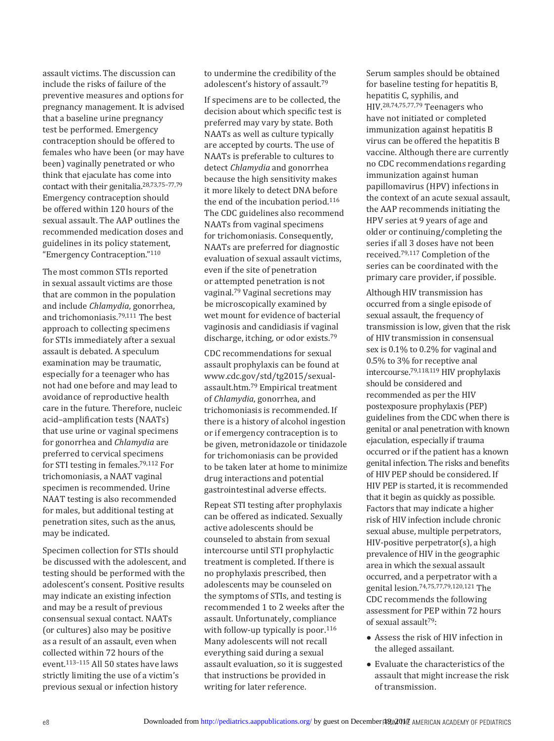assault victims. The discussion can include the risks of failure of the preventive measures and options for pregnancy management. It is advised that a baseline urine pregnancy test be performed. Emergency contraception should be offered to females who have been (or may have been) vaginally penetrated or who think that ejaculate has come into contact with their genitalia.<sup>28,73,75-77,79</sup> Emergency contraception should be offered within 120 hours of the sexual assault. The AAP outlines the recommended medication doses and guidelines in its policy statement, "Emergency Contraception." 110

The most common STIs reported in sexual assault victims are those that are common in the population and include *Chlamydia*, gonorrhea, and trichomoniasis.<sup>79,111</sup> The best approach to collecting specimens for STIs immediately after a sexual assault is debated. A speculum examination may be traumatic, especially for a teenager who has not had one before and may lead to avoidance of reproductive health care in the future. Therefore, nucleic acid–amplification tests (NAATs) that use urine or vaginal specimens for gonorrhea and *Chlamydia* are preferred to cervical specimens for STI testing in females.<sup>79,112</sup> For trichomoniasis, a NAAT vaginal specimen is recommended. Urine NAAT testing is also recommended for males, but additional testing at penetration sites, such as the anus, may be indicated.

Specimen collection for STIs should be discussed with the adolescent, and testing should be performed with the adolescent's consent. Positive results may indicate an existing infection and may be a result of previous consensual sexual contact. NAATs (or cultures) also may be positive as a result of an assault, even when collected within 72 hours of the event. 113–115 All 50 states have laws strictly limiting the use of a victim's previous sexual or infection history

to undermine the credibility of the adolescent's history of assault. 79

If specimens are to be collected, the decision about which specific test is preferred may vary by state. Both NAATs as well as culture typically are accepted by courts. The use of NAATs is preferable to cultures to detect *Chlamydia* and gonorrhea because the high sensitivity makes it more likely to detect DNA before the end of the incubation period.<sup>116</sup> The CDC guidelines also recommend NAATs from vaginal specimens for trichomoniasis. Consequently, NAATs are preferred for diagnostic evaluation of sexual assault victims, even if the site of penetration or attempted penetration is not vaginal.<sup>79</sup> Vaginal secretions may be microscopically examined by wet mount for evidence of bacterial vaginosis and candidiasis if vaginal discharge, itching, or odor exists.<sup>79</sup>

CDC recommendations for sexual assault prophylaxis can be found at www. cdc. gov/ std/ tg2015/ sexualassault.htm.<sup>79</sup> Empirical treatment of *Chlamydia*, gonorrhea, and trichomoniasis is recommended. If there is a history of alcohol ingestion or if emergency contraception is to be given, metronidazole or tinidazole for trichomoniasis can be provided to be taken later at home to minimize drug interactions and potential gastrointestinal adverse effects.

Repeat STI testing after prophylaxis can be offered as indicated. Sexually active adolescents should be counseled to abstain from sexual intercourse until STI prophylactic treatment is completed. If there is no prophylaxis prescribed, then adolescents may be counseled on the symptoms of STIs, and testing is recommended 1 to 2 weeks after the assault. Unfortunately, compliance with follow-up typically is poor.<sup>116</sup> Many adolescents will not recall everything said during a sexual assault evaluation, so it is suggested that instructions be provided in writing for later reference.

Serum samples should be obtained for baseline testing for hepatitis B, hepatitis C, syphilis, and HIV. 28, 74, 75, 77, 79 Teenagers who have not initiated or completed immunization against hepatitis B virus can be offered the hepatitis B vaccine. Although there are currently no CDC recommendations regarding immunization against human papillomavirus (HPV) infections in the context of an acute sexual assault, the AAP recommends initiating the HPV series at 9 years of age and older or continuing/completing the series if all 3 doses have not been received.<sup>79,117</sup> Completion of the series can be coordinated with the primary care provider, if possible.

Although HIV transmission has occurred from a single episode of sexual assault, the frequency of transmission is low, given that the risk of HIV transmission in consensual sex is 0.1% to 0.2% for vaginal and 0.5% to 3% for receptive anal intercourse.<sup>79,118,119</sup> HIV prophylaxis should be considered and recommended as per the HIV postexposure prophylaxis (PEP) guidelines from the CDC when there is genital or anal penetration with known ejaculation, especially if trauma occurred or if the patient has a known genital infection. The risks and benefits of HIV PEP should be considered. If HIV PEP is started, it is recommended that it begin as quickly as possible. Factors that may indicate a higher risk of HIV infection include chronic sexual abuse, multiple perpetrators, HIV-positive perpetrator(s), a high prevalence of HIV in the geographic area in which the sexual assault occurred, and a perpetrator with a genital lesion. 74, 75, 77, 79, 120, 121 The CDC recommends the following assessment for PEP within 72 hours of sexual assault<sup>79</sup>:

- Assess the risk of HIV infection in the alleged assailant.
- Evaluate the characteristics of the assault that might increase the risk of transmission.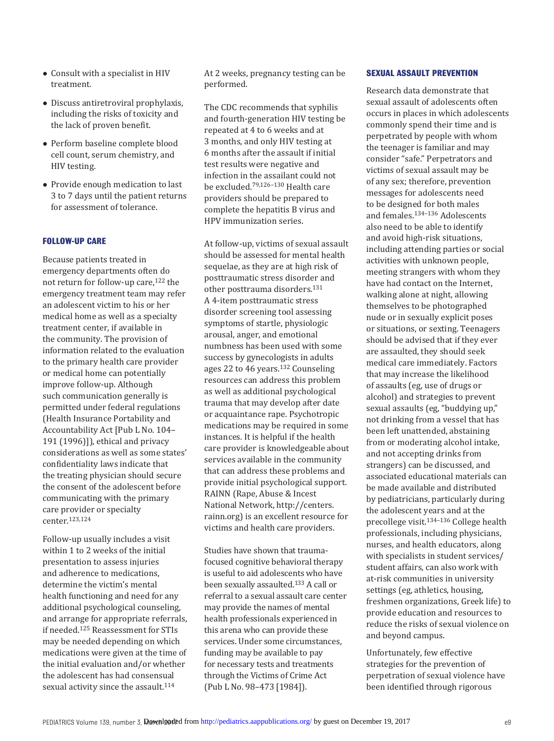- Consult with a specialist in HIV treatment.
- Discuss antiretroviral prophylaxis, including the risks of toxicity and the lack of proven benefit.
- Perform baseline complete blood cell count, serum chemistry, and HIV testing.
- Provide enough medication to last 3 to 7 days until the patient returns for assessment of tolerance.

#### **FOLLOW-UP CARE**

Because patients treated in emergency departments often do not return for follow-up care,<sup>122</sup> the emergency treatment team may refer an adolescent victim to his or her medical home as well as a specialty treatment center, if available in the community. The provision of information related to the evaluation to the primary health care provider or medical home can potentially improve follow-up. Although such communication generally is permitted under federal regulations (Health Insurance Portability and Accountability Act [Pub L No. 104– 191 (1996)]), ethical and privacy considerations as well as some states' confidentiality laws indicate that the treating physician should secure the consent of the adolescent before communicating with the primary care provider or specialty center. 123, 124

Follow-up usually includes a visit within 1 to 2 weeks of the initial presentation to assess injuries and adherence to medications, determine the victim's mental health functioning and need for any additional psychological counseling, and arrange for appropriate referrals, if needed. 125 Reassessment for STIs may be needed depending on which medications were given at the time of the initial evaluation and/or whether the adolescent has had consensual sexual activity since the assault.<sup>114</sup>

At 2 weeks, pregnancy testing can be performed.

The CDC recommends that syphilis and fourth-generation HIV testing be repeated at 4 to 6 weeks and at 3 months, and only HIV testing at 6 months after the assault if initial test results were negative and infection in the assailant could not be excluded. 79, 126–130 Health care providers should be prepared to complete the hepatitis B virus and HPV immunization series.

At follow-up, victims of sexual assault should be assessed for mental health sequelae, as they are at high risk of posttraumatic stress disorder and other posttrauma disorders. 131 A 4-item posttraumatic stress disorder screening tool assessing symptoms of startle, physiologic arousal, anger, and emotional numbness has been used with some success by gynecologists in adults ages 22 to 46 years.<sup>132</sup> Counseling resources can address this problem as well as additional psychological trauma that may develop after date or acquaintance rape. Psychotropic medications may be required in some instances. It is helpful if the health care provider is knowledgeable about services available in the community that can address these problems and provide initial psychological support. RAINN (Rape, Abuse & Incest National Network, http:// centers. rainn. org) is an excellent resource for victims and health care providers.

Studies have shown that traumafocused cognitive behavioral therapy is useful to aid adolescents who have been sexually assaulted.<sup>133</sup> A call or referral to a sexual assault care center may provide the names of mental health professionals experienced in this arena who can provide these services. Under some circumstances, funding may be available to pay for necessary tests and treatments through the Victims of Crime Act (Pub L No. 98–473 [1984]).

#### **SEXUAL ASSAULT PREVENTION**

Research data demonstrate that sexual assault of adolescents often occurs in places in which adolescents commonly spend their time and is perpetrated by people with whom the teenager is familiar and may consider "safe." Perpetrators and victims of sexual assault may be of any sex; therefore, prevention messages for adolescents need to be designed for both males and females. 134–136 Adolescents also need to be able to identify and avoid high-risk situations, including attending parties or social activities with unknown people, meeting strangers with whom they have had contact on the Internet, walking alone at night, allowing themselves to be photographed nude or in sexually explicit poses or situations, or sexting. Teenagers should be advised that if they ever are assaulted, they should seek medical care immediately. Factors that may increase the likelihood of assaults (eg, use of drugs or alcohol) and strategies to prevent sexual assaults (eg, "buddying up," not drinking from a vessel that has been left unattended, abstaining from or moderating alcohol intake, and not accepting drinks from strangers) can be discussed, and associated educational materials can be made available and distributed by pediatricians, particularly during the adolescent years and at the precollege visit. 134–136 College health professionals, including physicians, nurses, and health educators, along with specialists in student services/ student affairs, can also work with at-risk communities in university settings (eg, athletics, housing, freshmen organizations, Greek life) to provide education and resources to reduce the risks of sexual violence on and beyond campus.

Unfortunately, few effective strategies for the prevention of perpetration of sexual violence have been identified through rigorous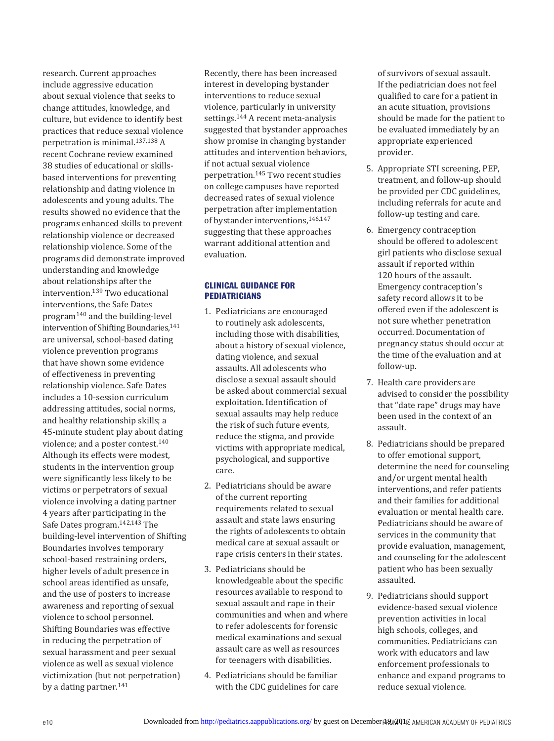research. Current approaches include aggressive education about sexual violence that seeks to change attitudes, knowledge, and culture, but evidence to identify best practices that reduce sexual violence perpetration is minimal. $137,138$  A recent Cochrane review examined 38 studies of educational or skillsbased interventions for preventing relationship and dating violence in adolescents and young adults. The results showed no evidence that the programs enhanced skills to prevent relationship violence or decreased relationship violence. Some of the programs did demonstrate improved understanding and knowledge about relationships after the intervention. 139 Two educational interventions, the Safe Dates program 140 and the building-level intervention of Shifting Boundaries, 141 are universal, school-based dating violence prevention programs that have shown some evidence of effectiveness in preventing relationship violence. Safe Dates includes a 10-session curriculum addressing attitudes, social norms, and healthy relationship skills; a 45-minute student play about dating violence; and a poster contest.<sup>140</sup> Although its effects were modest, students in the intervention group were significantly less likely to be victims or perpetrators of sexual violence involving a dating partner 4 years after participating in the Safe Dates program.<sup>142,143</sup> The building-level intervention of Shifting Boundaries involves temporary school-based restraining orders, higher levels of adult presence in school areas identified as unsafe, and the use of posters to increase awareness and reporting of sexual violence to school personnel. Shifting Boundaries was effective in reducing the perpetration of sexual harassment and peer sexual violence as well as sexual violence victimization (but not perpetration) by a dating partner. 141

Recently, there has been increased interest in developing bystander interventions to reduce sexual violence, particularly in university settings.<sup>144</sup> A recent meta-analysis suggested that bystander approaches show promise in changing bystander attitudes and intervention behaviors, if not actual sexual violence perpetration. 145 Two recent studies on college campuses have reported decreased rates of sexual violence perpetration after implementation of bystander interventions, 146,147 suggesting that these approaches warrant additional attention and evaluation.

#### **CLINICAL GUIDANCE FOR PEDIATRICIANS**

- 1. Pediatricians are encouraged to routinely ask adolescents, including those with disabilities, about a history of sexual violence, dating violence, and sexual assaults. All adolescents who disclose a sexual assault should be asked about commercial sexual exploitation. Identification of sexual assaults may help reduce the risk of such future events, reduce the stigma, and provide victims with appropriate medical, psychological, and supportive care.
- 2. Pediatricians should be aware of the current reporting requirements related to sexual assault and state laws ensuring the rights of adolescents to obtain medical care at sexual assault or rape crisis centers in their states.
- 3. Pediatricians should be knowledgeable about the specific resources available to respond to sexual assault and rape in their communities and when and where to refer adolescents for forensic medical examinations and sexual assault care as well as resources for teenagers with disabilities.
- 4. Pediatricians should be familiar with the CDC guidelines for care

of survivors of sexual assault. If the pediatrician does not feel qualified to care for a patient in an acute situation, provisions should be made for the patient to be evaluated immediately by an appropriate experienced provider.

- 5. Appropriate STI screening, PEP, treatment, and follow-up should be provided per CDC guidelines, including referrals for acute and follow-up testing and care.
- 6. Emergency contraception should be offered to adolescent girl patients who disclose sexual assault if reported within 120 hours of the assault. Emergency contraception's safety record allows it to be offered even if the adolescent is not sure whether penetration occurred. Documentation of pregnancy status should occur at the time of the evaluation and at follow-up.
- 7. Health care providers are advised to consider the possibility that "date rape" drugs may have been used in the context of an assault.
- 8. Pediatricians should be prepared to offer emotional support, determine the need for counseling and/or urgent mental health interventions, and refer patients and their families for additional evaluation or mental health care. Pediatricians should be aware of services in the community that provide evaluation, management, and counseling for the adolescent patient who has been sexually assaulted.
- 9. Pediatricians should support evidence-based sexual violence prevention activities in local high schools, colleges, and communities. Pediatricians can work with educators and law enforcement professionals to enhance and expand programs to reduce sexual violence.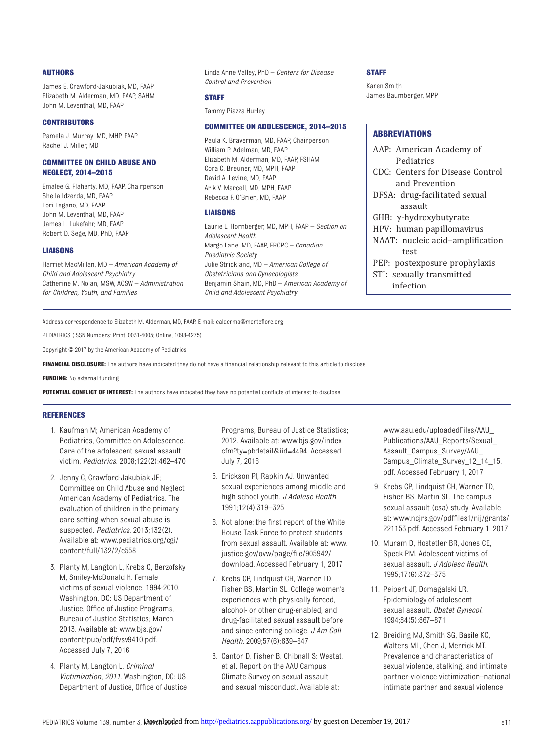#### **AUTHORS**

James E. Crawford-Jakubiak, MD, FAAP Elizabeth M. Alderman, MD, FAAP, SAHM John M. Leventhal, MD, FAAP

#### **CONTRIBUTORS**

Pamela J. Murray, MD, MHP, FAAP Rachel J. Miller, MD

#### **COMMITTEE ON CHILD ABUSE AND NEGLECT, 2014–2015**

Emalee G. Flaherty, MD, FAAP, Chairperson Sheila Idzerda, MD, FAAP Lori Legano, MD, FAAP John M. Leventhal, MD, FAAP James L. Lukefahr, MD, FAAP Robert D. Sege, MD, PhD, FAAP

#### **LIAISONS**

Harriet MacMillan, MD – *American Academy of Child and Adolescent Psychiatry* Catherine M. Nolan, MSW, ACSW – *Administration for Children, Youth, and Families*

Linda Anne Valley, PhD – *Centers for Disease Control and Prevention*

#### **STAFF**

Tammy Piazza Hurley

#### **COMMITTEE ON ADOLESCENCE, 2014–2015**

Paula K. Braverman, MD, FAAP, Chairperson William P. Adelman, MD, FAAP Elizabeth M. Alderman, MD, FAAP, FSHAM Cora C. Breuner, MD, MPH, FAAP David A. Levine, MD, FAAP Arik V. Marcell, MD, MPH, FAAP Rebecca F. O'Brien, MD, FAAP

#### **LIAISONS**

Laurie L. Hornberger, MD, MPH, FAAP – *Section on Adolescent Health* Margo Lane, MD, FAAP, FRCPC – *Canadian Paediatric Society* Julie Strickland, MD – *American College of Obstetricians and Gynecologists* Benjamin Shain, MD, PhD – *American Academy of Child and Adolescent Psychiatry*

#### **STAFF**

Karen Smith James Baumberger, MPP

#### **ABBREVIATIONS**

AAP: American Academy of Pediatrics CDC: Centers for Disease Control and Prevention DFSA: drug-facilitated sexual assault GHB: γ-hydroxybutyrate HPV: human papillomavirus NAAT: nucleic acid–amplification test PEP: postexposure prophylaxis STI: sexually transmitted infection

Address correspondence to Elizabeth M. Alderman, MD, FAAP. E-mail: ealderma@montefiore.org

PEDIATRICS (ISSN Numbers: Print, 0031-4005; Online, 1098-4275).

Copyright © 2017 by the American Academy of Pediatrics

FINANCIAL DISCLOSURE: The authors have indicated they do not have a financial relationship relevant to this article to disclose.

**FUNDING:** No external funding.

POTENTIAL CONFLICT OF INTEREST: The authors have indicated they have no potential conflicts of interest to disclose.

#### **REFERENCES**

- 1. Kaufman M; American Academy of Pediatrics, Committee on Adolescence. Care of the adolescent sexual assault victim. *Pediatrics*. 2008;122(2):462–470
- 2. Jenny C, Crawford-Jakubiak JE; Committee on Child Abuse and Neglect American Academy of Pediatrics. The evaluation of children in the primary care setting when sexual abuse is suspected. *Pediatrics*. 2013;132(2). Available at: www.pediatrics.org/cgi/ content/full/132/2/e558
- 3. Planty M, Langton L, Krebs C, Berzofsky M, Smiley-McDonald H. Female victims of sexual violence, 1994-2010. Washington, DC: US Department of Justice, Office of Justice Programs, Bureau of Justice Statistics; March 2013. Available at: www. bjs. gov/ content/pub/pdf/fvsv9410.pdf. Accessed July 7, 2016
- 4. Planty M, Langton L. *Criminal Victimization, 2011*. Washington, DC: US Department of Justice, Office of Justice

Programs, Bureau of Justice Statistics; 2012. Available at: www.bjs.gov/index. cfm?ty=pbdetail&iid=4494. Accessed July 7, 2016

- 5. Erickson PI, Rapkin AJ. Unwanted sexual experiences among middle and high school youth. *J Adolesc Health*. 1991;12(4):319–325
- 6. Not alone: the first report of the White House Task Force to protect students from sexual assault. Available at: www. justice.gov/ovw/page/file/905942/ download. Accessed February 1, 2017
- 7. Krebs CP, Lindquist CH, Warner TD, Fisher BS, Martin SL. College women's experiences with physically forced, alcohol- or other drug-enabled, and drug-facilitated sexual assault before and since entering college. *J Am Coll Health*. 2009;57(6):639–647
- 8. Cantor D, Fisher B, Chibnall S; Westat, et al. Report on the AAU Campus Climate Survey on sexual assault and sexual misconduct. Available at:

www. aau. edu/ uploadedFiles/ AAU\_ Publications/AAU\_Reports/Sexual\_ Assault\_Campus\_Survey/AAU\_ Campus\_ Climate\_ Survey\_ 12\_ 14\_ 15. pdf. Accessed February 1, 2017

- 9. Krebs CP, Lindquist CH, Warner TD, Fisher BS, Martin SL. The campus sexual assault (csa) study. Available at: www.ncjrs.gov/pdffiles1/nij/grants/ 221153. pdf. Accessed February 1, 2017
- 10. Muram D, Hostetler BR, Jones CE, Speck PM. Adolescent victims of sexual assault. *J Adolesc Health*. 1995;17(6):372–375
- 11. Peipert JF, Domagalski LR. Epidemiology of adolescent sexual assault. *Obstet Gynecol*. 1994;84(5):867–871
- 12. Breiding MJ, Smith SG, Basile KC, Walters ML, Chen J, Merrick MT. Prevalence and characteristics of sexual violence, stalking, and intimate partner violence victimization--national intimate partner and sexual violence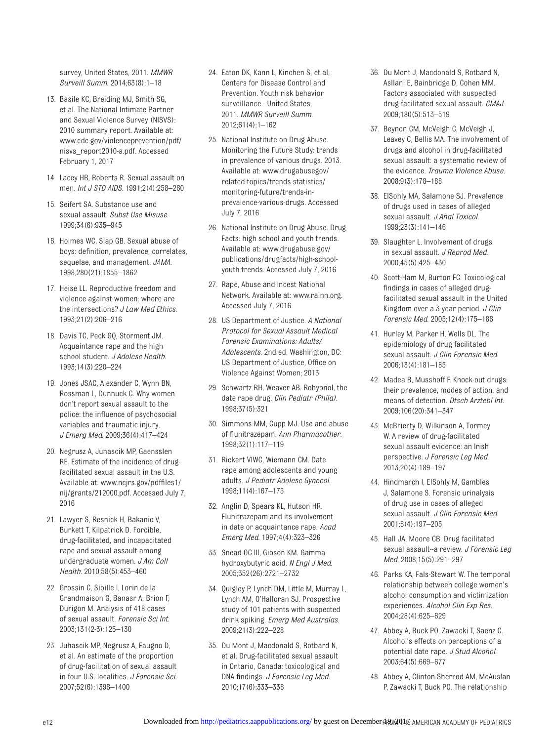survey, United States, 2011. *MMWR Surveill Summ*. 2014;63(8):1–18

- 13. Basile KC, Breiding MJ, Smith SG, et al. The National Intimate Partner and Sexual Violence Survey (NISVS): 2010 summary report. Available at: www.cdc.gov/violenceprevention/pdf/ nisvs\_report2010-a.pdf. Accessed February 1, 2017
- 14. Lacey HB, Roberts R. Sexual assault on men. *Int J STD AIDS*. 1991;2(4):258–260
- 15. Seifert SA. Substance use and sexual assault. *Subst Use Misuse*. 1999;34(6):935–945
- 16. Holmes WC, Slap GB. Sexual abuse of boys: definition, prevalence, correlates, sequelae, and management. *JAMA*. 1998;280(21):1855–1862
- 17. Heise LL. Reproductive freedom and violence against women: where are the intersections? *J Law Med Ethics*. 1993;21(2):206–216
- 18. Davis TC, Peck GQ, Storment JM. Acquaintance rape and the high school student. *J Adolesc Health*. 1993;14(3):220–224
- 19. Jones JSAC, Alexander C, Wynn BN, Rossman L, Dunnuck C. Why women don't report sexual assault to the police: the influence of psychosocial variables and traumatic injury. *J Emerg Med*. 2009;36(4):417–424
- 20. Negrusz A, Juhascik MP, Gaensslen RE. Estimate of the incidence of drugfacilitated sexual assault in the U.S. Available at: www.ncjrs.gov/pdffiles1/ nij/grants/212000.pdf. Accessed July 7, 2016
- 21. Lawyer S, Resnick H, Bakanic V, Burkett T, Kilpatrick D. Forcible, drug-facilitated, and incapacitated rape and sexual assault among undergraduate women. *J Am Coll Health*. 2010;58(5):453–460
- 22. Grossin C, Sibille I, Lorin de la Grandmaison G, Banasr A, Brion F, Durigon M. Analysis of 418 cases of sexual assault. *Forensic Sci Int*. 2003;131(2-3):125–130
- 23. Juhascik MP, Negrusz A, Faugno D, et al. An estimate of the proportion of drug-facilitation of sexual assault in four U.S. localities. *J Forensic Sci*. 2007;52(6):1396–1400
- 24. Eaton DK, Kann L, Kinchen S, et al; Centers for Disease Control and Prevention. Youth risk behavior surveillance - United States, 2011. *MMWR Surveill Summ*. 2012;61(4):1–162
- 25. National Institute on Drug Abuse. Monitoring the Future Study: trends in prevalence of various drugs. 2013. Available at: www. drugabusegov/ related-topics/trends-statistics/ monitoring-future/trends-inprevalence-various-drugs. Accessed July 7, 2016
- 26. National Institute on Drug Abuse. Drug Facts: high school and youth trends. Available at: www. drugabuse. gov/ publications/drugfacts/high-schoolyouth-trends. Accessed July 7, 2016
- 27. Rape, Abuse and Incest National Network. Available at: www.rainn.org. Accessed July 7, 2016
- 28. US Department of Justice. *A National Protocol for Sexual Assault Medical Forensic Examinations: Adults/ Adolescents*. 2nd ed. Washington, DC: US Department of Justice, Office on Violence Against Women; 2013
- 29. Schwartz RH, Weaver AB. Rohypnol, the date rape drug. *Clin Pediatr (Phila)*. 1998;37(5):321
- 30. Simmons MM, Cupp MJ. Use and abuse of flunitrazepam. Ann Pharmacother. 1998;32(1):117–119
- 31. Rickert VIWC, Wiemann CM. Date rape among adolescents and young adults. *J Pediatr Adolesc Gynecol*. 1998;11(4):167–175
- 32. Anglin D, Spears KL, Hutson HR. Flunitrazepam and its involvement in date or acquaintance rape. *Acad Emerg Med*. 1997;4(4):323–326
- 33. Snead OC III, Gibson KM. Gammahydroxybutyric acid. *N Engl J Med*. 2005;352(26):2721–2732
- 34. Quigley P, Lynch DM, Little M, Murray L, Lynch AM, O'Halloran SJ. Prospective study of 101 patients with suspected drink spiking. *Emerg Med Australas*. 2009;21(3):222–228
- 35. Du Mont J, Macdonald S, Rotbard N, et al. Drug-facilitated sexual assault in Ontario, Canada: toxicological and DNA findings. *J Forensic Leg Med.* 2010;17(6):333–338
- 36. Du Mont J, Macdonald S, Rotbard N, Asllani E, Bainbridge D, Cohen MM. Factors associated with suspected drug-facilitated sexual assault. *CMAJ*. 2009;180(5):513–519
- 37. Beynon CM, McVeigh C, McVeigh J, Leavey C, Bellis MA. The involvement of drugs and alcohol in drug-facilitated sexual assault: a systematic review of the evidence. *Trauma Violence Abuse*. 2008;9(3):178–188
- 38. ElSohly MA, Salamone SJ. Prevalence of drugs used in cases of alleged sexual assault. *J Anal Toxicol*. 1999;23(3):141–146
- 39. Slaughter L. Involvement of drugs in sexual assault. *J Reprod Med*. 2000;45(5):425–430
- 40. Scott-Ham M, Burton FC. Toxicological findings in cases of alleged drugfacilitated sexual assault in the United Kingdom over a 3-year period. *J Clin Forensic Med*. 2005;12(4):175–186
- 41. Hurley M, Parker H, Wells DL. The epidemiology of drug facilitated sexual assault. *J Clin Forensic Med*. 2006;13(4):181–185
- 42. Madea B, Musshoff F. Knock-out drugs: their prevalence, modes of action, and means of detection. *Dtsch Arztebl Int*. 2009;106(20):341–347
- 43. McBrierty D, Wilkinson A, Tormey W. A review of drug-facilitated sexual assault evidence: an Irish perspective. *J Forensic Leg Med*. 2013;20(4):189–197
- 44. Hindmarch I, ElSohly M, Gambles J, Salamone S. Forensic urinalysis of drug use in cases of alleged sexual assault. *J Clin Forensic Med*. 2001;8(4):197–205
- 45. Hall JA, Moore CB. Drug facilitated sexual assault--a review. *J Forensic Leg Med*. 2008;15(5):291–297
- 46. Parks KA, Fals-Stewart W. The temporal relationship between college women's alcohol consumption and victimization experiences. *Alcohol Clin Exp Res*. 2004;28(4):625–629
- 47. Abbey A, Buck PO, Zawacki T, Saenz C. Alcohol's effects on perceptions of a potential date rape. *J Stud Alcohol*. 2003;64(5):669–677
- 48. Abbey A, Clinton-Sherrod AM, McAuslan P, Zawacki T, Buck PO. The relationship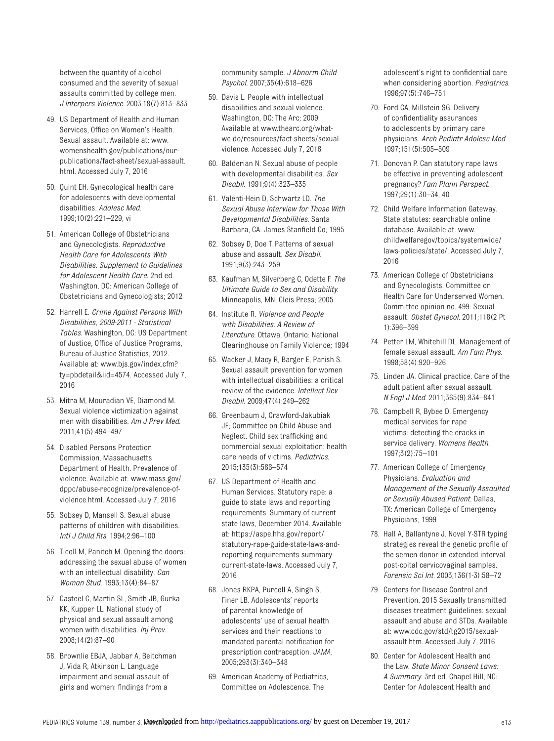between the quantity of alcohol consumed and the severity of sexual assaults committed by college men. *J Interpers Violence*. 2003;18(7):813–833

- 49. US Department of Health and Human Services, Office on Women's Health. Sexual assault. Available at: www. womenshealth.gov/publications/ourpublications/fact-sheet/sexual-assault. html. Accessed July 7, 2016
- 50. Quint EH. Gynecological health care for adolescents with developmental disabilities. *Adolesc Med*. 1999;10(2):221–229, vi
- 51. American College of Obstetricians and Gynecologists. *Reproductive Health Care for Adolescents With Disabilities. Supplement to Guidelines for Adolescent Health Care*. 2nd ed. Washington, DC: American College of Obstetricians and Gynecologists; 2012
- 52. Harrell E. *Crime Against Persons With Disabilities, 2009-2011 - Statistical Tables*. Washington, DC: US Department of Justice, Office of Justice Programs. Bureau of Justice Statistics; 2012. Available at: www.bjs.gov/index.cfm? ty=pbdetail&iid= 4574. Accessed July 7, 2016
- 53. Mitra M, Mouradian VE, Diamond M. Sexual violence victimization against men with disabilities. *Am J Prev Med*. 2011;41(5):494–497
- 54. Disabled Persons Protection Commission, Massachusetts Department of Health. Prevalence of violence. Available at: www. mass. gov/ dppc/abuse-recognize/prevalence-ofviolence. html. Accessed July 7, 2016
- 55. Sobsey D, Mansell S. Sexual abuse patterns of children with disabilities. *Intl J Child Rts*. 1994;2:96–100
- 56. Ticoll M, Panitch M. Opening the doors: addressing the sexual abuse of women with an intellectual disability. *Can Woman Stud*. 1993;13(4):84–87
- 57. Casteel C, Martin SL, Smith JB, Gurka KK, Kupper LL. National study of physical and sexual assault among women with disabilities. *Inj Prev*. 2008;14(2):87–90
- 58. Brownlie EBJA, Jabbar A, Beitchman J, Vida R, Atkinson L. Language impairment and sexual assault of girls and women: findings from a

community sample. *J Abnorm Child Psychol*. 2007;35(4):618–626

- 59. Davis L. People with intellectual disabilities and sexual violence. Washington, DC: The Arc; 2009. Available at www.thearc.org/whatwe-do/resources/fact-sheets/sexualviolence. Accessed July 7, 2016
- 60. Balderian N. Sexual abuse of people with developmental disabilities. *Sex Disabil*. 1991;9(4):323–335
- 61. Valenti-Hein D, Schwartz LD. *The Sexual Abuse Interview for Those With Developmental Disabilities*. Santa Barbara, CA: James Stanfield Co; 1995
- 62. Sobsey D, Doe T. Patterns of sexual abuse and assault. *Sex Disabil*. 1991;9(3):243–259
- 63. Kaufman M, Silverberg C, Odette F. *The Ultimate Guide to Sex and Disability*. Minneapolis, MN: Cleis Press; 2005
- 64. Institute R. *Violence and People with Disabilities: A Review of Literature*. Ottawa, Ontario: National Clearinghouse on Family Violence; 1994
- 65. Wacker J, Macy R, Barger E, Parish S. Sexual assault prevention for women with intellectual disabilities: a critical review of the evidence. *Intellect Dev Disabil*. 2009;47(4):249–262
- 66. Greenbaum J, Crawford-Jakubiak JE; Committee on Child Abuse and Neglect. Child sex trafficking and commercial sexual exploitation: health care needs of victims. *Pediatrics*. 2015;135(3):566–574
- 67. US Department of Health and Human Services. Statutory rape: a guide to state laws and reporting requirements. Summary of current state laws, December 2014. Available at: https:// aspe. hhs. gov/ report/ statutory-rape-guide-state-laws-andreporting-requirements-summarycurrent-state-laws. Accessed July 7, 2016
- 68. Jones RKPA, Purcell A, Singh S, Finer LB. Adolescents' reports of parental knowledge of adolescents' use of sexual health services and their reactions to mandated parental notification for prescription contraception. *JAMA*. 2005;293(3):340–348
- 69. American Academy of Pediatrics, Committee on Adolescence. The

adolescent's right to confidential care when considering abortion. *Pediatrics*. 1996;97(5):746–751

- 70. Ford CA, Millstein SG. Delivery of confidentiality assurances to adolescents by primary care physicians. *Arch Pediatr Adolesc Med*. 1997;151(5):505–509
- 71. Donovan P. Can statutory rape laws be effective in preventing adolescent pregnancy? *Fam Plann Perspect*. 1997;29(1):30–34, 40
- 72. Child Welfare Information Gateway. State statutes: searchable online database. Available at: www. childwelfaregov/topics/systemwide/ laws-policies/state/. Accessed July 7, 2016
- 73. American College of Obstetricians and Gynecologists. Committee on Health Care for Underserved Women. Committee opinion no. 499: Sexual assault. *Obstet Gynecol*. 2011;118(2 Pt 1):396–399
- 74. Petter LM, Whitehill DL. Management of female sexual assault. *Am Fam Phys*. 1998;58(4):920–926
- 75. Linden JA. Clinical practice. Care of the adult patient after sexual assault. *N Engl J Med*. 2011;365(9):834–841
- 76. Campbell R, Bybee D. Emergency medical services for rape victims: detecting the cracks in service delivery. *Womens Health*. 1997;3(2):75–101
- 77. American College of Emergency Physicians. *Evaluation and Management of the Sexually Assaulted or Sexually Abused Patient*. Dallas, TX: American College of Emergency Physicians; 1999
- 78. Hall A, Ballantyne J. Novel Y-STR typing strategies reveal the genetic profile of the semen donor in extended interval post-coital cervicovaginal samples. *Forensic Sci Int*. 2003;136(1-3):58–72
- 79. Centers for Disease Control and Prevention. 2015 Sexually transmitted diseases treatment guidelines: sexual assault and abuse and STDs. Available at: www.cdc.gov/std/tg2015/sexualassault. htm. Accessed July 7, 2016
- 80. Center for Adolescent Health and the Law. *State Minor Consent Laws: A Summary*. 3rd ed. Chapel Hill, NC: Center for Adolescent Health and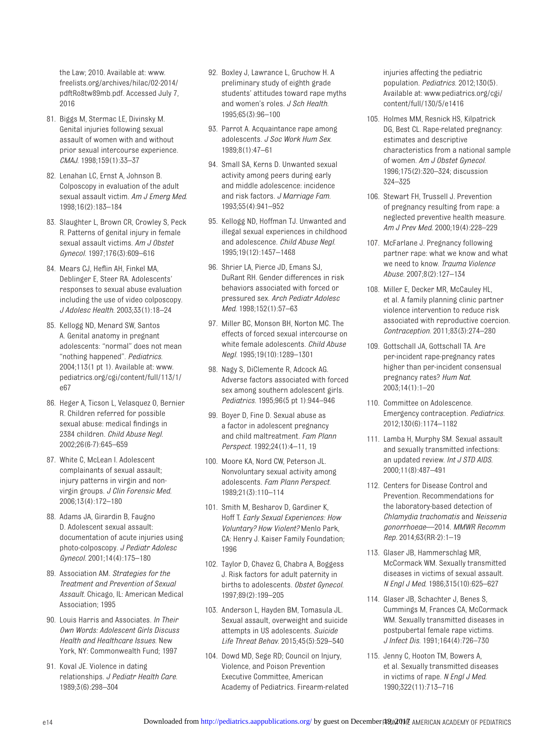the Law; 2010. Available at: www. freelists.org/archives/hilac/02-2014/ pdftRo8tw89mb. pdf. Accessed July 7, 2016

- 81. Biggs M, Stermac LE, Divinsky M. Genital injuries following sexual assault of women with and without prior sexual intercourse experience. *CMAJ*. 1998;159(1):33–37
- 82. Lenahan LC, Ernst A, Johnson B. Colposcopy in evaluation of the adult sexual assault victim. *Am J Emerg Med*. 1998;16(2):183–184
- 83. Slaughter L, Brown CR, Crowley S, Peck R. Patterns of genital injury in female sexual assault victims. *Am J Obstet Gynecol*. 1997;176(3):609–616
- 84. Mears CJ, Heflin AH, Finkel MA, Deblinger E, Steer RA. Adolescents' responses to sexual abuse evaluation including the use of video colposcopy. *J Adolesc Health*. 2003;33(1):18–24
- 85. Kellogg ND, Menard SW, Santos A. Genital anatomy in pregnant adolescents: "normal" does not mean "nothing happened". *Pediatrics*. 2004;113(1 pt 1). Available at: www. pediatrics.org/cgi/content/full/113/1/ e67
- 86. Heger A, Ticson L, Velasquez O, Bernier R. Children referred for possible sexual abuse: medical findings in 2384 children. *Child Abuse Negl*. 2002;26(6-7):645–659
- 87. White C, McLean I. Adolescent complainants of sexual assault; injury patterns in virgin and nonvirgin groups. *J Clin Forensic Med*. 2006;13(4):172–180
- 88. Adams JA, Girardin B, Faugno D. Adolescent sexual assault: documentation of acute injuries using photo-colposcopy. *J Pediatr Adolesc Gynecol*. 2001;14(4):175–180
- 89. Association AM. *Strategies for the Treatment and Prevention of Sexual Assault*. Chicago, IL: American Medical Association; 1995
- 90. Louis Harris and Associates. *In Their Own Words: Adolescent Girls Discuss Health and Healthcare Issues*. New York, NY: Commonwealth Fund; 1997
- 91. Koval JE. Violence in dating relationships. *J Pediatr Health Care*. 1989;3(6):298–304
- 92. Boxley J, Lawrance L, Gruchow H. A preliminary study of eighth grade students' attitudes toward rape myths and women's roles. *J Sch Health*. 1995;65(3):96–100
- 93. Parrot A. Acquaintance rape among adolescents. *J Soc Work Hum Sex*. 1989;8(1):47–61
- 94. Small SA, Kerns D. Unwanted sexual activity among peers during early and middle adolescence: incidence and risk factors. *J Marriage Fam*. 1993;55(4):941–952
- 95. Kellogg ND, Hoffman TJ. Unwanted and illegal sexual experiences in childhood and adolescence. *Child Abuse Negl*. 1995;19(12):1457–1468
- 96. Shrier LA, Pierce JD, Emans SJ, DuRant RH. Gender differences in risk behaviors associated with forced or pressured sex. *Arch Pediatr Adolesc Med*. 1998;152(1):57–63
- 97. Miller BC, Monson BH, Norton MC. The effects of forced sexual intercourse on white female adolescents. *Child Abuse Negl*. 1995;19(10):1289–1301
- 98. Nagy S, DiClemente R, Adcock AG. Adverse factors associated with forced sex among southern adolescent girls. *Pediatrics*. 1995;96(5 pt 1):944–946
- 99. Boyer D, Fine D. Sexual abuse as a factor in adolescent pregnancy and child maltreatment. *Fam Plann Perspect*. 1992;24(1):4–11, 19
- 100. Moore KA, Nord CW, Peterson JL. Nonvoluntary sexual activity among adolescents. *Fam Plann Perspect*. 1989;21(3):110–114
- 101. Smith M, Besharov D, Gardiner K, Hoff T. *Early Sexual Experiences: How Voluntary? How Violent?* Menlo Park, CA: Henry J. Kaiser Family Foundation; 1996
- 102. Taylor D, Chavez G, Chabra A, Boggess J. Risk factors for adult paternity in births to adolescents. *Obstet Gynecol*. 1997;89(2):199–205
- 103. Anderson L, Hayden BM, Tomasula JL. Sexual assault, overweight and suicide attempts in US adolescents. *Suicide Life Threat Behav*. 2015;45(5):529–540
- 104. Dowd MD, Sege RD; Council on Injury, Violence, and Poison Prevention Executive Committee, American Academy of Pediatrics. Firearm-related

injuries affecting the pediatric population. *Pediatrics*. 2012;130(5). Available at: www.pediatrics.org/cgi/ content/full/130/5/e1416

- 105. Holmes MM, Resnick HS, Kilpatrick DG, Best CL. Rape-related pregnancy: estimates and descriptive characteristics from a national sample of women. *Am J Obstet Gynecol*. 1996;175(2):320–324; discussion 324–325
- 106. Stewart FH, Trussell J. Prevention of pregnancy resulting from rape: a neglected preventive health measure. *Am J Prev Med*. 2000;19(4):228–229
- 107. McFarlane J. Pregnancy following partner rape: what we know and what we need to know. *Trauma Violence Abuse*. 2007;8(2):127–134
- 108. Miller E, Decker MR, McCauley HL, et al. A family planning clinic partner violence intervention to reduce risk associated with reproductive coercion. *Contraception*. 2011;83(3):274–280
- 109. Gottschall JA, Gottschall TA. Are per-incident rape-pregnancy rates higher than per-incident consensual pregnancy rates? *Hum Nat*. 2003;14(1):1–20
- 110. Committee on Adolescence. Emergency contraception. *Pediatrics*. 2012;130(6):1174–1182
- 111. Lamba H, Murphy SM. Sexual assault and sexually transmitted infections: an updated review. *Int J STD AIDS*. 2000;11(8):487–491
- 112. Centers for Disease Control and Prevention. Recommendations for the laboratory-based detection of *Chlamydia trachomatis* and *Neisseria gonorrhoeae*—2014. *MMWR Recomm Rep*. 2014;63(RR-2):1–19
- 113. Glaser JB, Hammerschlag MR, McCormack WM. Sexually transmitted diseases in victims of sexual assault. *N Engl J Med*. 1986;315(10):625–627
- 114. Glaser JB, Schachter J, Benes S, Cummings M, Frances CA, McCormack WM. Sexually transmitted diseases in postpubertal female rape victims. *J Infect Dis*. 1991;164(4):726–730
- 115. Jenny C, Hooton TM, Bowers A, et al. Sexually transmitted diseases in victims of rape. *N Engl J Med*. 1990;322(11):713–716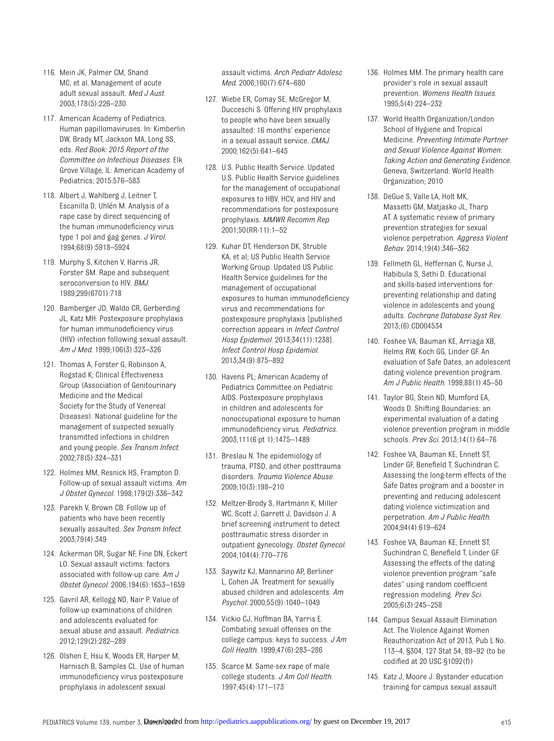- 116. Mein JK, Palmer CM, Shand MC, et al. Management of acute adult sexual assault. *Med J Aust*. 2003;178(5):226–230
- 117. American Academy of Pediatrics. Human papillomaviruses. In: Kimberlin DW, Brady MT, Jackson MA, Long SS, eds. *Red Book: 2015 Report of the Committee on Infectious Diseases*. Elk Grove Village, IL: American Academy of Pediatrics; 2015:576–583
- 118. Albert J, Wahlberg J, Leitner T, Escanilla D, Uhlén M. Analysis of a rape case by direct sequencing of the human immunodeficiency virus type 1 pol and gag genes. *J Virol*. 1994;68(9):5918–5924
- 119. Murphy S, Kitchen V, Harris JR, Forster SM. Rape and subsequent seroconversion to HIV. *BMJ*. 1989;299(6701):718
- 120. Bamberger JD, Waldo CR, Gerberding JL, Katz MH. Postexposure prophylaxis for human immunodeficiency virus (HIV) infection following sexual assault. *Am J Med*. 1999;106(3):323–326
- 121. Thomas A, Forster G, Robinson A, Rogstad K; Clinical Effectiveness Group (Association of Genitourinary Medicine and the Medical Society for the Study of Venereal Diseases). National guideline for the management of suspected sexually transmitted infections in children and young people. *Sex Transm Infect*. 2002;78(5):324–331
- 122. Holmes MM, Resnick HS, Frampton D. Follow-up of sexual assault victims. *Am J Obstet Gynecol*. 1998;179(2):336–342
- 123. Parekh V, Brown CB. Follow up of patients who have been recently sexually assaulted. *Sex Transm Infect*. 2003;79(4):349
- 124. Ackerman DR, Sugar NF, Fine DN, Eckert LO. Sexual assault victims: factors associated with follow-up care. *Am J Obstet Gynecol*. 2006;194(6):1653–1659
- 125. Gavril AR, Kellogg ND, Nair P. Value of follow-up examinations of children and adolescents evaluated for sexual abuse and assault. *Pediatrics*. 2012;129(2):282–289
- 126. Olshen E, Hsu K, Woods ER, Harper M, Harnisch B, Samples CL. Use of human immunodeficiency virus postexposure prophylaxis in adolescent sexual

assault victims. *Arch Pediatr Adolesc Med*. 2006;160(7):674–680

- 127. Wiebe ER, Comay SE, McGregor M, Ducceschi S. Offering HIV prophylaxis to people who have been sexually assaulted: 16 months' experience in a sexual assault service. *CMAJ*. 2000;162(5):641–645
- 128. U.S. Public Health Service. Updated U.S. Public Health Service guidelines for the management of occupational exposures to HBV, HCV, and HIV and recommendations for postexposure prophylaxis. *MMWR Recomm Rep*. 2001;50(RR-11):1–52
- 129. Kuhar DT, Henderson DK, Struble KA, et al; US Public Health Service Working Group. Updated US Public Health Service guidelines for the management of occupational exposures to human immunodeficiency virus and recommendations for postexposure prophylaxis [published correction appears in *Infect Control Hosp Epidemiol*. 2013;34(11):1238]. *Infect Control Hosp Epidemiol*. 2013;34(9):875–892
- 130. Havens PL; American Academy of Pediatrics Committee on Pediatric AIDS. Postexposure prophylaxis in children and adolescents for nonoccupational exposure to human immunodefi ciency virus. *Pediatrics*. 2003;111(6 pt 1):1475–1489
- 131. Breslau N. The epidemiology of trauma, PTSD, and other posttrauma disorders. *Trauma Violence Abuse*. 2009;10(3):198–210
- 132. Meltzer-Brody S, Hartmann K, Miller WC, Scott J, Garrett J, Davidson J. A brief screening instrument to detect posttraumatic stress disorder in outpatient gynecology. *Obstet Gynecol*. 2004;104(4):770–776
- 133. Saywitz KJ, Mannarino AP, Berliner L, Cohen JA. Treatment for sexually abused children and adolescents. *Am Psychol*. 2000;55(9):1040–1049
- 134. Vickio CJ, Hoffman BA, Yarris E. Combating sexual offenses on the college campus: keys to success. *J Am Coll Health*. 1999;47(6):283–286
- 135. Scarce M. Same-sex rape of male college students. *J Am Coll Health*. 1997;45(4):171–173
- 136. Holmes MM. The primary health care provider's role in sexual assault prevention. *Womens Health Issues*. 1995;5(4):224–232
- 137. World Health Organization/London School of Hygiene and Tropical Medicine. *Preventing Intimate Partner and Sexual Violence Against Women: Taking Action and Generating Evidence*. Geneva, Switzerland: World Health Organization; 2010
- 138. DeGue S, Valle LA, Holt MK, Massetti GM, Matjasko JL, Tharp AT. A systematic review of primary prevention strategies for sexual violence perpetration. *Aggress Violent Behav*. 2014;19(4):346–362
- 139. Fellmeth GL, Heffernan C, Nurse J, Habibula S, Sethi D. Educational and skills-based interventions for preventing relationship and dating violence in adolescents and young adults. *Cochrane Database Syst Rev*. 2013;(6):CD004534
- 140. Foshee VA, Bauman KE, Arriaga XB, Helms RW, Koch GG, Linder GF. An evaluation of Safe Dates, an adolescent dating violence prevention program. *Am J Public Health*. 1998;88(1):45–50
- 141. Taylor BG, Stein ND, Mumford EA, Woods D. Shifting Boundaries: an experimental evaluation of a dating violence prevention program in middle schools. *Prev Sci*. 2013;14(1):64–76
- 142. Foshee VA, Bauman KE, Ennett ST, Linder GF, Benefield T, Suchindran C. Assessing the long-term effects of the Safe Dates program and a booster in preventing and reducing adolescent dating violence victimization and perpetration. *Am J Public Health*. 2004;94(4):619–624
- 143. Foshee VA, Bauman KE, Ennett ST, Suchindran C, Benefield T, Linder GF. Assessing the effects of the dating violence prevention program "safe dates" using random coefficient regression modeling. *Prev Sci*. 2005;6(3):245–258
- 144. Campus Sexual Assault Elimination Act. The Violence Against Women Reauthorization Act of 2013, Pub L No. 113–4, §304, 127 Stat 54, 89–92 (to be codified at 20 USC §1092(f))
- 145. Katz J, Moore J. Bystander education training for campus sexual assault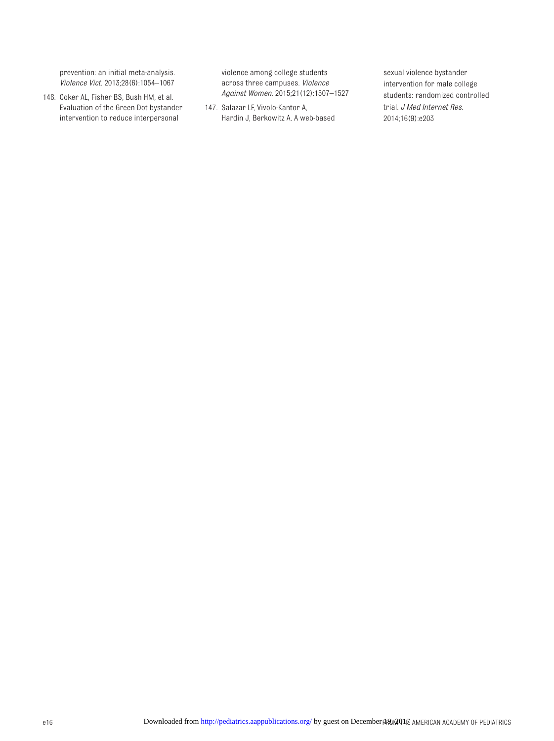prevention: an initial meta-analysis. *Violence Vict*. 2013;28(6):1054–1067

 146. Coker AL, Fisher BS, Bush HM, et al. Evaluation of the Green Dot bystander intervention to reduce interpersonal

violence among college students across three campuses. *Violence Against Women*. 2015;21(12):1507–1527

 147. Salazar LF, Vivolo-Kantor A, Hardin J, Berkowitz A. A web-based

sexual violence bystander intervention for male college students: randomized controlled trial. *J Med Internet Res*. 2014;16(9):e203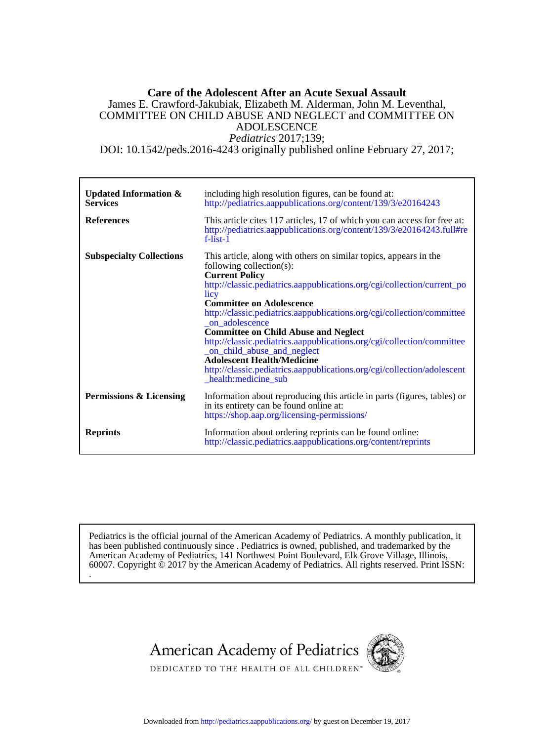#### **Care of the Adolescent After an Acute Sexual Assault**

#### *Pediatrics* 2017;139; ADOLESCENCE COMMITTEE ON CHILD ABUSE AND NEGLECT and COMMITTEE ON James E. Crawford-Jakubiak, Elizabeth M. Alderman, John M. Leventhal,

DOI: 10.1542/peds.2016-4243 originally published online February 27, 2017;

| Updated Information $\&$<br><b>Services</b> | including high resolution figures, can be found at:<br>http://pediatrics.aappublications.org/content/139/3/e20164243                                                                                                                                                                                                                                                                                                                                                                                                                                                                                                                      |
|---------------------------------------------|-------------------------------------------------------------------------------------------------------------------------------------------------------------------------------------------------------------------------------------------------------------------------------------------------------------------------------------------------------------------------------------------------------------------------------------------------------------------------------------------------------------------------------------------------------------------------------------------------------------------------------------------|
| <b>References</b>                           | This article cites 117 articles, 17 of which you can access for free at:<br>http://pediatrics.aappublications.org/content/139/3/e20164243.full#re<br>$f-list-1$                                                                                                                                                                                                                                                                                                                                                                                                                                                                           |
| <b>Subspecialty Collections</b>             | This article, along with others on similar topics, appears in the<br>following collection(s):<br><b>Current Policy</b><br>http://classic.pediatrics.aappublications.org/cgi/collection/current_po<br>licy<br><b>Committee on Adolescence</b><br>http://classic.pediatrics.aappublications.org/cgi/collection/committee<br>_on_adolescence<br><b>Committee on Child Abuse and Neglect</b><br>http://classic.pediatrics.aappublications.org/cgi/collection/committee<br>_on_child_abuse_and_neglect<br><b>Adolescent Health/Medicine</b><br>http://classic.pediatrics.aappublications.org/cgi/collection/adolescent<br>_health:medicine_sub |
| <b>Permissions &amp; Licensing</b>          | Information about reproducing this article in parts (figures, tables) or<br>in its entirety can be found online at:<br>https://shop.aap.org/licensing-permissions/                                                                                                                                                                                                                                                                                                                                                                                                                                                                        |
| <b>Reprints</b>                             | Information about ordering reprints can be found online:<br>http://classic.pediatrics.aappublications.org/content/reprints                                                                                                                                                                                                                                                                                                                                                                                                                                                                                                                |

. 60007. Copyright © 2017 by the American Academy of Pediatrics. All rights reserved. Print ISSN: American Academy of Pediatrics, 141 Northwest Point Boulevard, Elk Grove Village, Illinois, has been published continuously since . Pediatrics is owned, published, and trademarked by the Pediatrics is the official journal of the American Academy of Pediatrics. A monthly publication, it

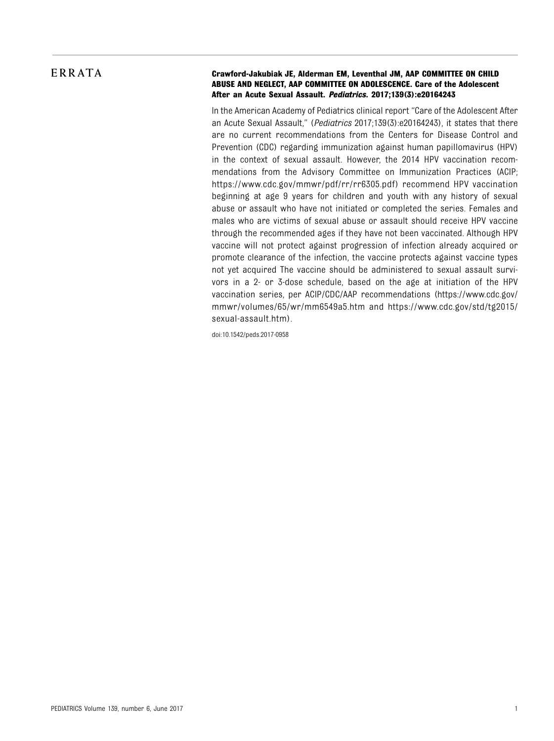### ERRATA

#### Crawford-Jakubiak JE, Alderman EM, Leventhal JM, AAP COMMITTEE ON CHILD ABUSE AND NEGLECT, AAP COMMITTEE ON ADOLESCENCE. Care of the Adolescent After an Acute Sexual Assault. Pediatrics. 2017;139(3):e20164243

In the American Academy of Pediatrics clinical report "Care of the Adolescent After an Acute Sexual Assault," (Pediatrics 2017;139(3):e20164243), it states that there are no current recommendations from the Centers for Disease Control and Prevention (CDC) regarding immunization against human papillomavirus (HPV) in the context of sexual assault. However, the 2014 HPV vaccination recommendations from the Advisory Committee on Immunization Practices (ACIP; <https://www.cdc.gov/mmwr/pdf/rr/rr6305.pdf>) recommend HPV vaccination beginning at age 9 years for children and youth with any history of sexual abuse or assault who have not initiated or completed the series. Females and males who are victims of sexual abuse or assault should receive HPV vaccine through the recommended ages if they have not been vaccinated. Although HPV vaccine will not protect against progression of infection already acquired or promote clearance of the infection, the vaccine protects against vaccine types not yet acquired The vaccine should be administered to sexual assault survivors in a 2- or 3-dose schedule, based on the age at initiation of the HPV vaccination series, per ACIP/CDC/AAP recommendations ([https://www.cdc.gov/](https://www.cdc.gov/mmwr/volumes/65/wr/mm6549a5.htm) [mmwr/volumes/65/wr/mm6549a5.htm](https://www.cdc.gov/mmwr/volumes/65/wr/mm6549a5.htm) and [https://www.cdc.gov/std/tg2015/](https://www.cdc.gov/std/tg2015/sexual-assault.htm) [sexual-assault.htm](https://www.cdc.gov/std/tg2015/sexual-assault.htm)).

doi:10.1542/peds.2017-0958